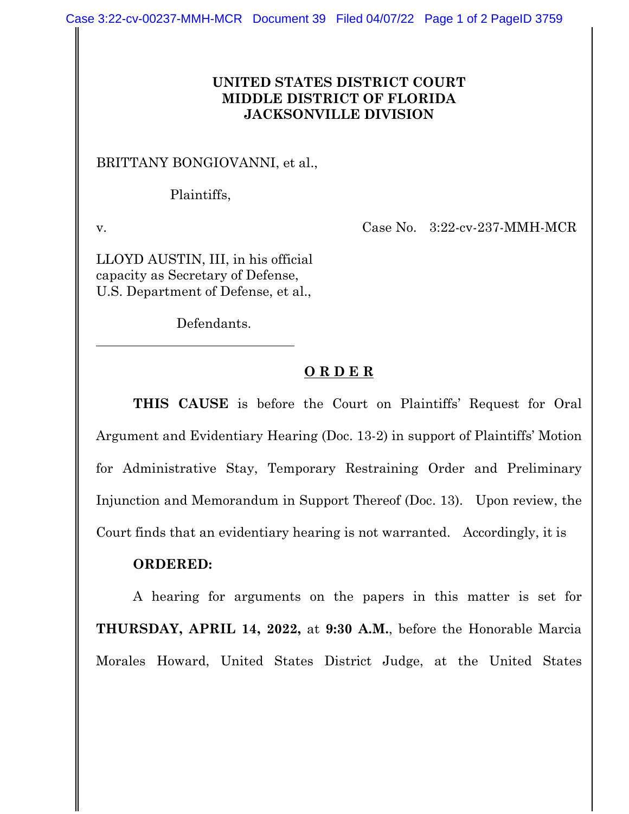## **UNITED STATES DISTRICT COURT MIDDLE DISTRICT OF FLORIDA JACKSONVILLE DIVISION**

BRITTANY BONGIOVANNI, et al.,

Plaintiffs,

 $\overline{a}$ 

v. Case No. 3:22-cv-237-MMH-MCR

LLOYD AUSTIN, III, in his official capacity as Secretary of Defense, U.S. Department of Defense, et al.,

Defendants.

## **O R D E R**

**THIS CAUSE** is before the Court on Plaintiffs' Request for Oral Argument and Evidentiary Hearing (Doc. 13-2) in support of Plaintiffs' Motion for Administrative Stay, Temporary Restraining Order and Preliminary Injunction and Memorandum in Support Thereof (Doc. 13). Upon review, the Court finds that an evidentiary hearing is not warranted. Accordingly, it is

## **ORDERED:**

A hearing for arguments on the papers in this matter is set for **THURSDAY, APRIL 14, 2022,** at **9:30 A.M.**, before the Honorable Marcia Morales Howard, United States District Judge, at the United States